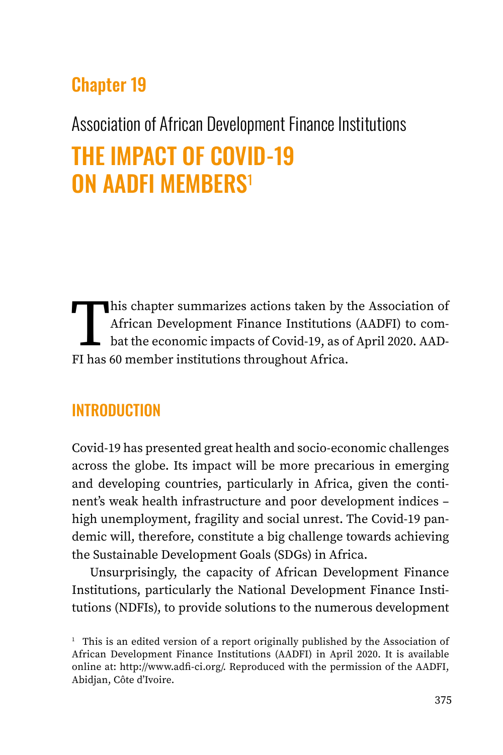## Chapter 19

# Association of African Development Finance Institutions THE IMPACT OF COVID-19 ON AADFI MEMBERS<sup>1</sup>

This chapter summarizes actions taken by the Association of<br>African Development Finance Institutions (AADFI) to combat the economic impacts of Covid-19, as of April 2020. AAD-<br>FI has 60 member institutions throughout Afric African Development Finance Institutions (AADFI) to combat the economic impacts of Covid-19, as of April 2020. AAD-FI has 60 member institutions throughout Africa.

### **INTRODUCTION**

Covid-19 has presented great health and socio-economic challenges across the globe. Its impact will be more precarious in emerging and developing countries, particularly in Africa, given the continent's weak health infrastructure and poor development indices – high unemployment, fragility and social unrest. The Covid-19 pandemic will, therefore, constitute a big challenge towards achieving the Sustainable Development Goals (SDGs) in Africa.

Unsurprisingly, the capacity of African Development Finance Institutions, particularly the National Development Finance Institutions (NDFIs), to provide solutions to the numerous development

<sup>&</sup>lt;sup>1</sup> This is an edited version of a report originally published by the Association of African Development Finance Institutions (AADFI) in April 2020. It is available online at: <http://www.adfi-ci.org/>. Reproduced with the permission of the AADFI, Abidjan, Côte d'Ivoire.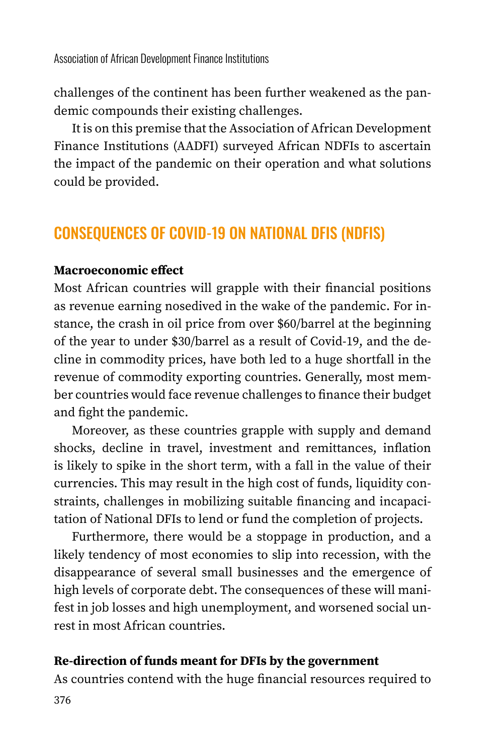challenges of the continent has been further weakened as the pandemic compounds their existing challenges.

It is on this premise that the Association of African Development Finance Institutions (AADFI) surveyed African NDFIs to ascertain the impact of the pandemic on their operation and what solutions could be provided.

### CONSEQUENCES OF COVID-19 ON NATIONAL DFIS (NDFIS)

#### **Macroeconomic effect**

Most African countries will grapple with their financial positions as revenue earning nosedived in the wake of the pandemic. For instance, the crash in oil price from over \$60/barrel at the beginning of the year to under \$30/barrel as a result of Covid-19, and the decline in commodity prices, have both led to a huge shortfall in the revenue of commodity exporting countries. Generally, most member countries would face revenue challenges to finance their budget and fight the pandemic.

Moreover, as these countries grapple with supply and demand shocks, decline in travel, investment and remittances, inflation is likely to spike in the short term, with a fall in the value of their currencies. This may result in the high cost of funds, liquidity constraints, challenges in mobilizing suitable financing and incapacitation of National DFIs to lend or fund the completion of projects.

Furthermore, there would be a stoppage in production, and a likely tendency of most economies to slip into recession, with the disappearance of several small businesses and the emergence of high levels of corporate debt. The consequences of these will manifest in job losses and high unemployment, and worsened social unrest in most African countries.

#### **Re-direction of funds meant for DFIs by the government**

As countries contend with the huge financial resources required to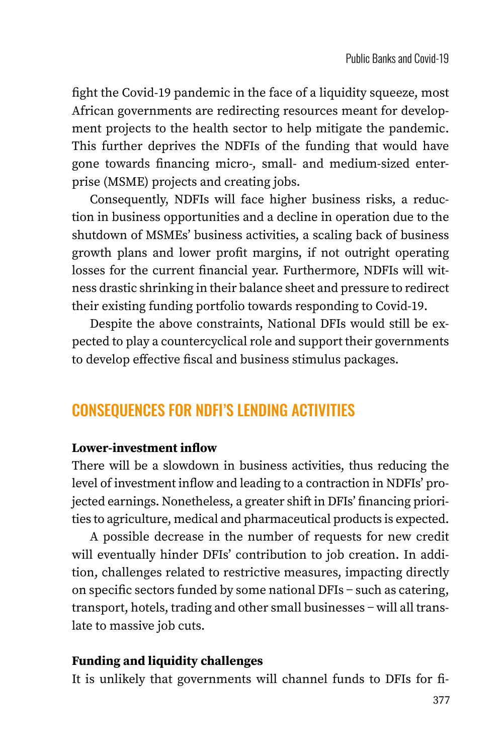fight the Covid-19 pandemic in the face of a liquidity squeeze, most African governments are redirecting resources meant for development projects to the health sector to help mitigate the pandemic. This further deprives the NDFIs of the funding that would have gone towards financing micro-, small- and medium-sized enterprise (MSME) projects and creating jobs.

Consequently, NDFIs will face higher business risks, a reduction in business opportunities and a decline in operation due to the shutdown of MSMEs' business activities, a scaling back of business growth plans and lower profit margins, if not outright operating losses for the current financial year. Furthermore, NDFIs will witness drastic shrinking in their balance sheet and pressure to redirect their existing funding portfolio towards responding to Covid-19.

Despite the above constraints, National DFIs would still be expected to play a countercyclical role and support their governments to develop effective fiscal and business stimulus packages.

### CONSEQUENCES FOR NDFI'S LENDING ACTIVITIES

#### **Lower-investment inflow**

There will be a slowdown in business activities, thus reducing the level of investment inflow and leading to a contraction in NDFIs' projected earnings. Nonetheless, a greater shift in DFIs' financing priorities to agriculture, medical and pharmaceutical products is expected.

A possible decrease in the number of requests for new credit will eventually hinder DFIs' contribution to job creation. In addition, challenges related to restrictive measures, impacting directly on specific sectors funded by some national DFIs − such as catering, transport, hotels, trading and other small businesses − will all translate to massive job cuts.

#### **Funding and liquidity challenges**

It is unlikely that governments will channel funds to DFIs for fi-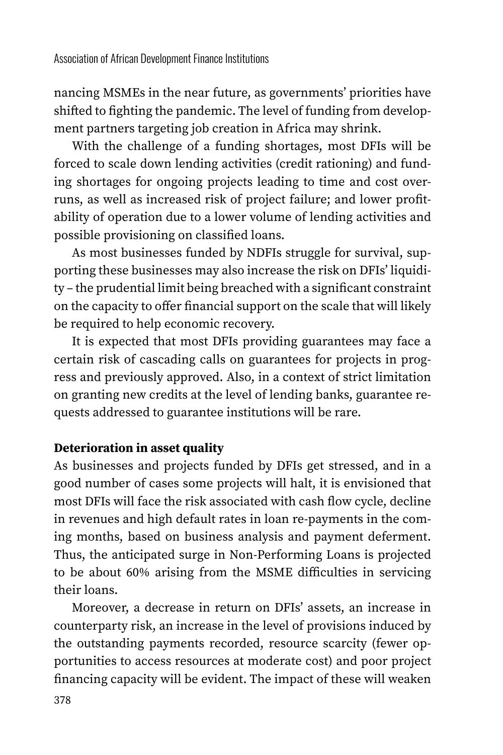nancing MSMEs in the near future, as governments' priorities have shifted to fighting the pandemic. The level of funding from development partners targeting job creation in Africa may shrink.

With the challenge of a funding shortages, most DFIs will be forced to scale down lending activities (credit rationing) and funding shortages for ongoing projects leading to time and cost overruns, as well as increased risk of project failure; and lower profitability of operation due to a lower volume of lending activities and possible provisioning on classified loans.

As most businesses funded by NDFIs struggle for survival, supporting these businesses may also increase the risk on DFIs' liquidity – the prudential limit being breached with a significant constraint on the capacity to offer financial support on the scale that will likely be required to help economic recovery.

It is expected that most DFIs providing guarantees may face a certain risk of cascading calls on guarantees for projects in progress and previously approved. Also, in a context of strict limitation on granting new credits at the level of lending banks, guarantee requests addressed to guarantee institutions will be rare.

#### **Deterioration in asset quality**

As businesses and projects funded by DFIs get stressed, and in a good number of cases some projects will halt, it is envisioned that most DFIs will face the risk associated with cash flow cycle, decline in revenues and high default rates in loan re-payments in the coming months, based on business analysis and payment deferment. Thus, the anticipated surge in Non-Performing Loans is projected to be about 60% arising from the MSME difficulties in servicing their loans.

Moreover, a decrease in return on DFIs' assets, an increase in counterparty risk, an increase in the level of provisions induced by the outstanding payments recorded, resource scarcity (fewer opportunities to access resources at moderate cost) and poor project financing capacity will be evident. The impact of these will weaken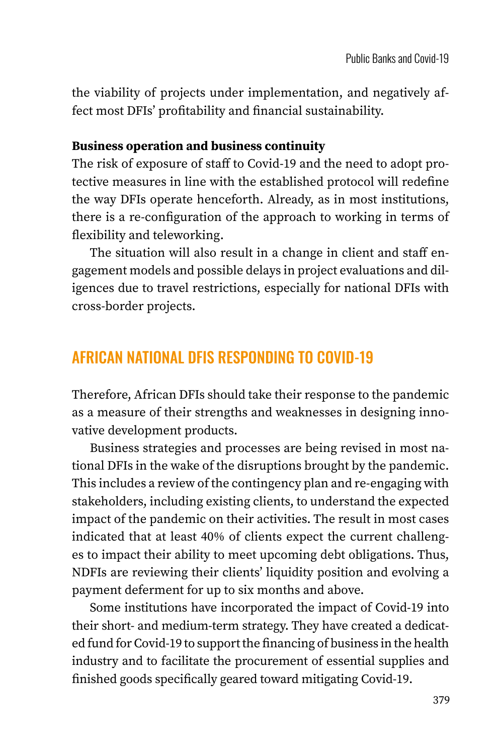the viability of projects under implementation, and negatively affect most DFIs' profitability and financial sustainability.

#### **Business operation and business continuity**

The risk of exposure of staff to Covid-19 and the need to adopt protective measures in line with the established protocol will redefine the way DFIs operate henceforth. Already, as in most institutions, there is a re-configuration of the approach to working in terms of flexibility and teleworking.

The situation will also result in a change in client and staff engagement models and possible delays in project evaluations and diligences due to travel restrictions, especially for national DFIs with cross-border projects.

### AFRICAN NATIONAL DFIS RESPONDING TO COVID-19

Therefore, African DFIs should take their response to the pandemic as a measure of their strengths and weaknesses in designing innovative development products.

Business strategies and processes are being revised in most national DFIs in the wake of the disruptions brought by the pandemic. This includes a review of the contingency plan and re-engaging with stakeholders, including existing clients, to understand the expected impact of the pandemic on their activities. The result in most cases indicated that at least 40% of clients expect the current challenges to impact their ability to meet upcoming debt obligations. Thus, NDFIs are reviewing their clients' liquidity position and evolving a payment deferment for up to six months and above.

Some institutions have incorporated the impact of Covid-19 into their short- and medium-term strategy. They have created a dedicated fund for Covid-19 to support the financing of business in the health industry and to facilitate the procurement of essential supplies and finished goods specifically geared toward mitigating Covid-19.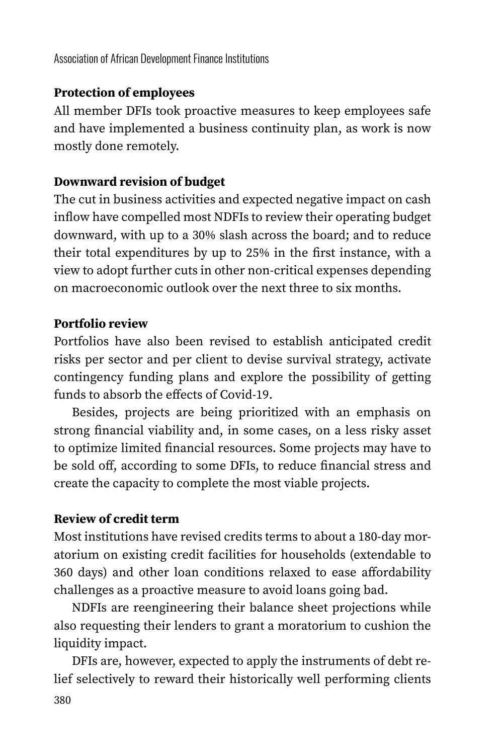Association of African Development Finance Institutions

#### **Protection of employees**

All member DFIs took proactive measures to keep employees safe and have implemented a business continuity plan, as work is now mostly done remotely.

#### **Downward revision of budget**

The cut in business activities and expected negative impact on cash inflow have compelled most NDFIs to review their operating budget downward, with up to a 30% slash across the board; and to reduce their total expenditures by up to 25% in the first instance, with a view to adopt further cuts in other non-critical expenses depending on macroeconomic outlook over the next three to six months.

#### **Portfolio review**

Portfolios have also been revised to establish anticipated credit risks per sector and per client to devise survival strategy, activate contingency funding plans and explore the possibility of getting funds to absorb the effects of Covid-19.

Besides, projects are being prioritized with an emphasis on strong financial viability and, in some cases, on a less risky asset to optimize limited financial resources. Some projects may have to be sold off, according to some DFIs, to reduce financial stress and create the capacity to complete the most viable projects.

#### **Review of credit term**

Most institutions have revised credits terms to about a 180-day moratorium on existing credit facilities for households (extendable to 360 days) and other loan conditions relaxed to ease affordability challenges as a proactive measure to avoid loans going bad.

NDFIs are reengineering their balance sheet projections while also requesting their lenders to grant a moratorium to cushion the liquidity impact.

DFIs are, however, expected to apply the instruments of debt relief selectively to reward their historically well performing clients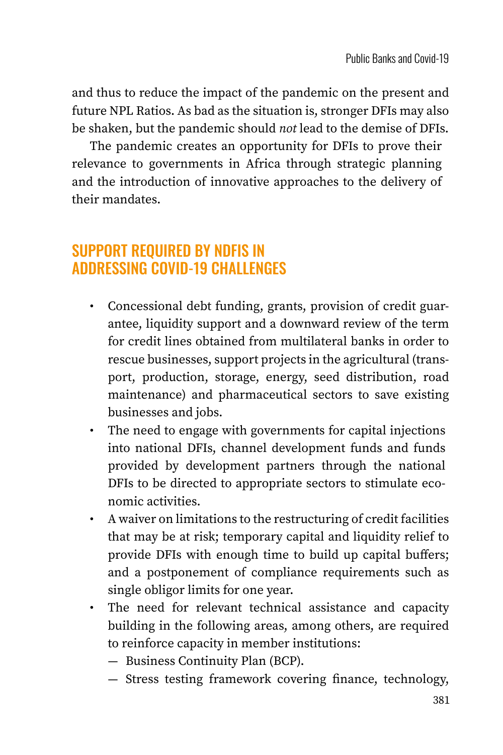and thus to reduce the impact of the pandemic on the present and future NPL Ratios. As bad as the situation is, stronger DFIs may also be shaken, but the pandemic should *not* lead to the demise of DFIs.

The pandemic creates an opportunity for DFIs to prove their relevance to governments in Africa through strategic planning and the introduction of innovative approaches to the delivery of their mandates.

### SUPPORT REQUIRED BY NDFIS IN ADDRESSING COVID-19 CHALLENGES

- Concessional debt funding, grants, provision of credit guarantee, liquidity support and a downward review of the term for credit lines obtained from multilateral banks in order to rescue businesses, support projects in the agricultural (transport, production, storage, energy, seed distribution, road maintenance) and pharmaceutical sectors to save existing businesses and jobs.
- The need to engage with governments for capital injections into national DFIs, channel development funds and funds provided by development partners through the national DFIs to be directed to appropriate sectors to stimulate economic activities.
- A waiver on limitations to the restructuring of credit facilities that may be at risk; temporary capital and liquidity relief to provide DFIs with enough time to build up capital buffers; and a postponement of compliance requirements such as single obligor limits for one year.
- The need for relevant technical assistance and capacity building in the following areas, among others, are required to reinforce capacity in member institutions:
	- Business Continuity Plan (BCP).
	- Stress testing framework covering finance, technology,